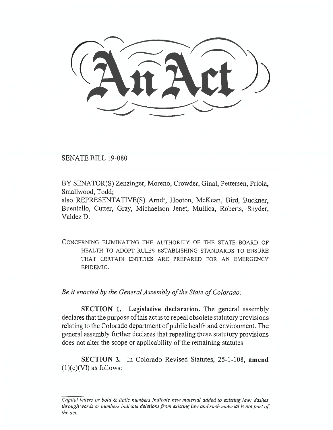SENATE BILL 19-080

BY SENATOR(S) Zenzinger, Moreno, Crowder, Ginal, Pettersen, Priola, Smallwood, Todd;

also REPRESENTATIVE(S) Arndt, Hooton, McKean, Bird, Buckner, Buentello, Cutter, Gray, Michaelson Jenet, Mullica, Roberts, Snyder, Valdez D.

CONCERNING ELIMINATING THE AUTHORITY OF THE STATE BOARD OF HEALTH TO ADOPT RULES ESTABLISHING STANDARDS TO ENSURE THAT CERTAIN ENTITIES ARE PREPARED FOR AN EMERGENCY EPIDEMIC.

*Be it enacted by the General Assembly of the State of Colorado:* 

**SECTION 1. Legislative declaration.** The general assembly declares that the purpose of this act is to repeal obsolete statutory provisions relating to the Colorado department of public health and environment. The general assembly further declares that repealing these statutory provisions does not alter the scope or applicability of the remaining statutes.

**SECTION 2.** In Colorado Revised Statutes, 25-1-108, **amend (1)(c)(VI)** as follows:

*Capital letters or bold & italic numbers indicate new material added to existing law; dashes through words or numbers indicate deletions from existing law and such material is not part of the act.*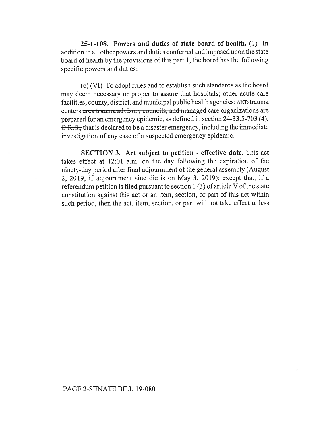**25-1-108. Powers and duties of state board of health.** (1) In addition to all other powers and duties conferred and imposed upon the state board of health by the provisions of this part 1, the board has the following specific powers and duties:

(c) (VI) To adopt rules and to establish such standards as the board may deem necessary or proper to assure that hospitals; other acute care facilities; county, district, and municipal public health agencies; AND trauma centers area trauma advisory councils, and managed care organizations are prepared for an emergency epidemic, as defined in section 24-33.5-703 (4), C.R.S., that is declared to be a disaster emergency, including the immediate investigation of any case of a suspected emergency epidemic.

**SECTION 3. Act subject to petition - effective date.** This act takes effect at 12:01 a.m. on the day following the expiration of the ninety-day period after final adjournment of the general assembly (August 2, 2019, if adjournment sine die is on May 3, 2019); except that, if a referendum petition is filed pursuant to section 1 (3) of article V of the state constitution against this act or an item, section, or part of this act within such period, then the act, item, section, or part will not take effect unless